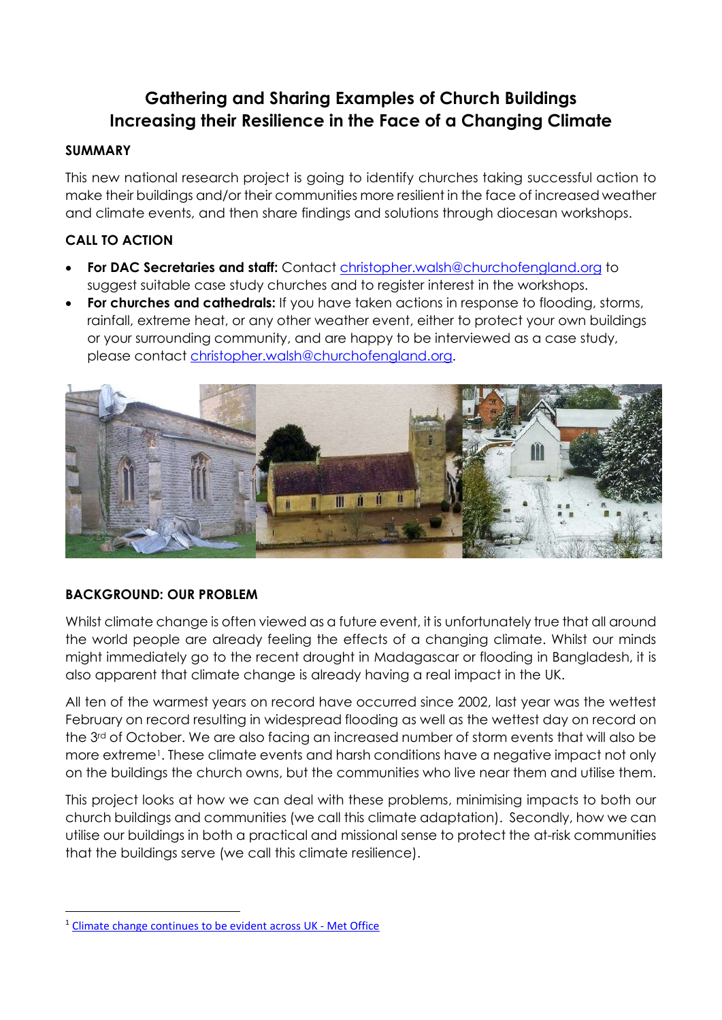# Gathering and Sharing Examples of Church Buildings Increasing their Resilience in the Face of a Changing Climate

#### SUMMARY

This new national research project is going to identify churches taking successful action to make their buildings and/or their communities more resilient in the face of increased weather and climate events, and then share findings and solutions through diocesan workshops.

## CALL TO ACTION

- For DAC Secretaries and staff: Contact christopher.walsh@churchofengland.org to suggest suitable case study churches and to register interest in the workshops.
- **For churches and cathedrals:** If you have taken actions in response to flooding, storms, rainfall, extreme heat, or any other weather event, either to protect your own buildings or your surrounding community, and are happy to be interviewed as a case study, please contact christopher.walsh@churchofengland.org.



## BACKGROUND: OUR PROBLEM

Whilst climate change is often viewed as a future event, it is unfortunately true that all around the world people are already feeling the effects of a changing climate. Whilst our minds might immediately go to the recent drought in Madagascar or flooding in Bangladesh, it is also apparent that climate change is already having a real impact in the UK.

All ten of the warmest years on record have occurred since 2002, last year was the wettest February on record resulting in widespread flooding as well as the wettest day on record on the 3rd of October. We are also facing an increased number of storm events that will also be more extreme<sup>1</sup>. These climate events and harsh conditions have a negative impact not only on the buildings the church owns, but the communities who live near them and utilise them.

This project looks at how we can deal with these problems, minimising impacts to both our church buildings and communities (we call this climate adaptation). Secondly, how we can utilise our buildings in both a practical and missional sense to protect the at-risk communities that the buildings serve (we call this climate resilience).

<sup>1</sup> Climate change continues to be evident across UK - Met Office